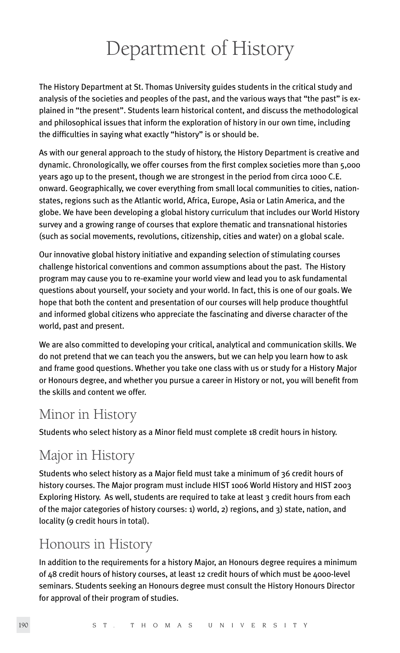# Department of History

The History Department at St. Thomas University guides students in the critical study and analysis of the societies and peoples of the past, and the various ways that "the past" is explained in "the present". Students learn historical content, and discuss the methodological and philosophical issues that inform the exploration of history in our own time, including the difficulties in saying what exactly "history" is or should be.

As with our general approach to the study of history, the History Department is creative and dynamic. Chronologically, we offer courses from the first complex societies more than 5,000 years ago up to the present, though we are strongest in the period from circa 1000 C.E. onward. Geographically, we cover everything from small local communities to cities, nationstates, regions such as the Atlantic world, Africa, Europe, Asia or Latin America, and the globe. We have been developing a global history curriculum that includes our World History survey and a growing range of courses that explore thematic and transnational histories (such as social movements, revolutions, citizenship, cities and water) on a global scale.

Our innovative global history initiative and expanding selection of stimulating courses challenge historical conventions and common assumptions about the past. The History program may cause you to re-examine your world view and lead you to ask fundamental questions about yourself, your society and your world. In fact, this is one of our goals. We hope that both the content and presentation of our courses will help produce thoughtful and informed global citizens who appreciate the fascinating and diverse character of the world, past and present.

We are also committed to developing your critical, analytical and communication skills. We do not pretend that we can teach you the answers, but we can help you learn how to ask and frame good questions. Whether you take one class with us or study for a History Major or Honours degree, and whether you pursue a career in History or not, you will benefit from the skills and content we offer.

# Minor in History

Students who select history as a Minor field must complete 18 credit hours in history.

# Major in History

Students who select history as a Major field must take a minimum of 36 credit hours of history courses. The Major program must include HIST 1006 World History and HIST 2003 Exploring History. As well, students are required to take at least 3 credit hours from each of the major categories of history courses: 1) world, 2) regions, and 3) state, nation, and locality (9 credit hours in total).

# Honours in History

In addition to the requirements for a history Major, an Honours degree requires a minimum of 48 credit hours of history courses, at least 12 credit hours of which must be 4000-level seminars. Students seeking an Honours degree must consult the History Honours Director for approval of their program of studies.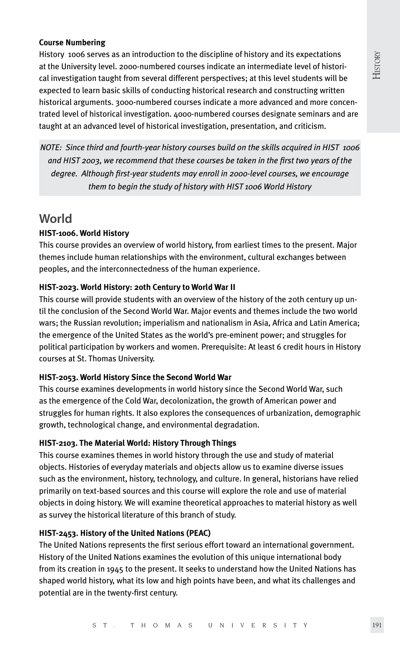#### **Course Numbering**

History 1006 serves as an introduction to the discipline of history and its expectations at the University level. 2000-numbered courses indicate an intermediate level of historical investigation taught from several different perspectives; at this level students will be expected to learn basic skills of conducting historical research and constructing written historical arguments. 3000-numbered courses indicate a more advanced and more concentrated level of historical investigation. 4000-numbered courses designate seminars and are taught at an advanced level of historical investigation, presentation, and criticism.

*NOTE: Since third and fourth-year history courses build on the skills acquired in HIST 1006 and HIST 2003, we recommend that these courses be taken in the first two years of the degree. Although first-year students may enroll in 2000-level courses, we encourage them to begin the study of history with HIST 1006 World History*

### **World**

#### **HIST-1006. World History**

This course provides an overview of world history, from earliest times to the present. Major themes include human relationships with the environment, cultural exchanges between peoples, and the interconnectedness of the human experience.

#### **HIST-2023. World History: 20th Century to World War II**

This course will provide students with an overview of the history of the 20th century up until the conclusion of the Second World War. Major events and themes include the two world wars; the Russian revolution; imperialism and nationalism in Asia, Africa and Latin America; the emergence of the United States as the world's pre-eminent power; and struggles for political participation by workers and women. Prerequisite: At least 6 credit hours in History courses at St. Thomas University.

#### **HIST-2053. World History Since the Second World War**

This course examines developments in world history since the Second World War, such as the emergence of the Cold War, decolonization, the growth of American power and struggles for human rights. It also explores the consequences of urbanization, demographic growth, technological change, and environmental degradation.

#### **HIST-2103. The Material World: History Through Things**

This course examines themes in world history through the use and study of material objects. Histories of everyday materials and objects allow us to examine diverse issues such as the environment, history, technology, and culture. In general, historians have relied primarily on text-based sources and this course will explore the role and use of material objects in doing history. We will examine theoretical approaches to material history as well as survey the historical literature of this branch of study.

#### **HIST-2453. History of the United Nations (PEAC)**

The United Nations represents the first serious effort toward an international government. History of the United Nations examines the evolution of this unique international body from its creation in 1945 to the present. It seeks to understand how the United Nations has shaped world history, what its low and high points have been, and what its challenges and potential are in the twenty-first century.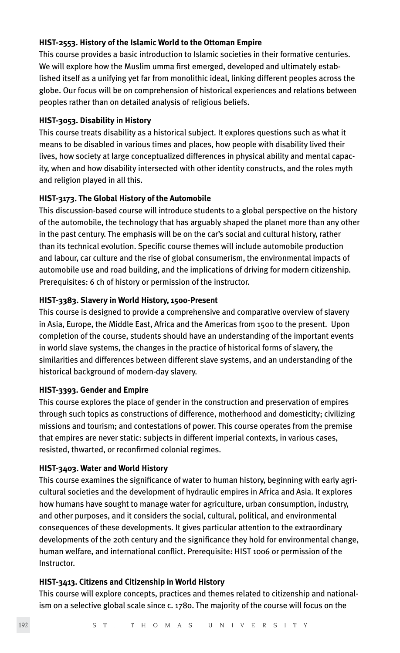#### **HIST-2553. History of the Islamic World to the Ottoman Empire**

This course provides a basic introduction to Islamic societies in their formative centuries. We will explore how the Muslim umma first emerged, developed and ultimately established itself as a unifying yet far from monolithic ideal, linking different peoples across the globe. Our focus will be on comprehension of historical experiences and relations between peoples rather than on detailed analysis of religious beliefs.

#### **HIST-3053. Disability in History**

This course treats disability as a historical subject. It explores questions such as what it means to be disabled in various times and places, how people with disability lived their lives, how society at large conceptualized differences in physical ability and mental capacity, when and how disability intersected with other identity constructs, and the roles myth and religion played in all this.

#### **HIST-3173. The Global History of the Automobile**

This discussion-based course will introduce students to a global perspective on the history of the automobile, the technology that has arguably shaped the planet more than any other in the past century. The emphasis will be on the car's social and cultural history, rather than its technical evolution. Specific course themes will include automobile production and labour, car culture and the rise of global consumerism, the environmental impacts of automobile use and road building, and the implications of driving for modern citizenship. Prerequisites: 6 ch of history or permission of the instructor.

#### **HIST-3383. Slavery in World History, 1500-Present**

This course is designed to provide a comprehensive and comparative overview of slavery in Asia, Europe, the Middle East, Africa and the Americas from 1500 to the present. Upon completion of the course, students should have an understanding of the important events in world slave systems, the changes in the practice of historical forms of slavery, the similarities and differences between different slave systems, and an understanding of the historical background of modern-day slavery.

#### **HIST-3393. Gender and Empire**

This course explores the place of gender in the construction and preservation of empires through such topics as constructions of difference, motherhood and domesticity; civilizing missions and tourism; and contestations of power. This course operates from the premise that empires are never static: subjects in different imperial contexts, in various cases, resisted, thwarted, or reconfirmed colonial regimes.

#### **HIST-3403. Water and World History**

This course examines the significance of water to human history, beginning with early agricultural societies and the development of hydraulic empires in Africa and Asia. It explores how humans have sought to manage water for agriculture, urban consumption, industry, and other purposes, and it considers the social, cultural, political, and environmental consequences of these developments. It gives particular attention to the extraordinary developments of the 20th century and the significance they hold for environmental change, human welfare, and international conflict. Prerequisite: HIST 1006 or permission of the Instructor.

#### **HIST-3413. Citizens and Citizenship in World History**

This course will explore concepts, practices and themes related to citizenship and nationalism on a selective global scale since c. 1780. The majority of the course will focus on the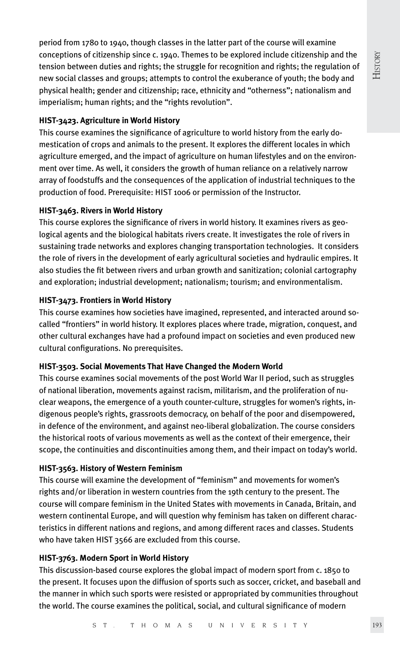History

period from 1780 to 1940, though classes in the latter part of the course will examine conceptions of citizenship since c. 1940. Themes to be explored include citizenship and the tension between duties and rights; the struggle for recognition and rights; the regulation of new social classes and groups; attempts to control the exuberance of youth; the body and physical health; gender and citizenship; race, ethnicity and "otherness"; nationalism and imperialism; human rights; and the "rights revolution".

#### **HIST-3423. Agriculture in World History**

This course examines the significance of agriculture to world history from the early domestication of crops and animals to the present. It explores the different locales in which agriculture emerged, and the impact of agriculture on human lifestyles and on the environment over time. As well, it considers the growth of human reliance on a relatively narrow array of foodstuffs and the consequences of the application of industrial techniques to the production of food. Prerequisite: HIST 1006 or permission of the Instructor.

#### **HIST-3463. Rivers in World History**

This course explores the significance of rivers in world history. It examines rivers as geological agents and the biological habitats rivers create. It investigates the role of rivers in sustaining trade networks and explores changing transportation technologies. It considers the role of rivers in the development of early agricultural societies and hydraulic empires. It also studies the fit between rivers and urban growth and sanitization; colonial cartography and exploration; industrial development; nationalism; tourism; and environmentalism.

#### **HIST-3473. Frontiers in World History**

This course examines how societies have imagined, represented, and interacted around socalled "frontiers" in world history. It explores places where trade, migration, conquest, and other cultural exchanges have had a profound impact on societies and even produced new cultural configurations. No prerequisites.

#### **HIST-3503. Social Movements That Have Changed the Modern World**

This course examines social movements of the post World War II period, such as struggles of national liberation, movements against racism, militarism, and the proliferation of nuclear weapons, the emergence of a youth counter-culture, struggles for women's rights, indigenous people's rights, grassroots democracy, on behalf of the poor and disempowered, in defence of the environment, and against neo-liberal globalization. The course considers the historical roots of various movements as well as the context of their emergence, their scope, the continuities and discontinuities among them, and their impact on today's world.

#### **HIST-3563. History of Western Feminism**

This course will examine the development of "feminism" and movements for women's rights and/or liberation in western countries from the 19th century to the present. The course will compare feminism in the United States with movements in Canada, Britain, and western continental Europe, and will question why feminism has taken on different characteristics in different nations and regions, and among different races and classes. Students who have taken HIST 3566 are excluded from this course.

#### **HIST-3763. Modern Sport in World History**

This discussion-based course explores the global impact of modern sport from c. 1850 to the present. It focuses upon the diffusion of sports such as soccer, cricket, and baseball and the manner in which such sports were resisted or appropriated by communities throughout the world. The course examines the political, social, and cultural significance of modern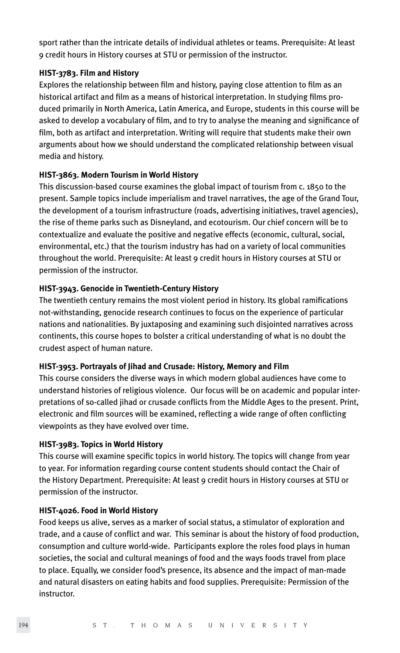sport rather than the intricate details of individual athletes or teams. Prerequisite: At least 9 credit hours in History courses at STU or permission of the instructor.

#### **HIST-3783. Film and History**

Explores the relationship between film and history, paying close attention to film as an historical artifact and film as a means of historical interpretation. In studying films produced primarily in North America, Latin America, and Europe, students in this course will be asked to develop a vocabulary of film, and to try to analyse the meaning and significance of film, both as artifact and interpretation. Writing will require that students make their own arguments about how we should understand the complicated relationship between visual media and history.

#### **HIST-3863. Modern Tourism in World History**

This discussion-based course examines the global impact of tourism from c. 1850 to the present. Sample topics include imperialism and travel narratives, the age of the Grand Tour, the development of a tourism infrastructure (roads, advertising initiatives, travel agencies), the rise of theme parks such as Disneyland, and ecotourism. Our chief concern will be to contextualize and evaluate the positive and negative effects (economic, cultural, social, environmental, etc.) that the tourism industry has had on a variety of local communities throughout the world. Prerequisite: At least 9 credit hours in History courses at STU or permission of the instructor.

#### **HIST-3943. Genocide in Twentieth-Century History**

The twentieth century remains the most violent period in history. Its global ramifications not-withstanding, genocide research continues to focus on the experience of particular nations and nationalities. By juxtaposing and examining such disjointed narratives across continents, this course hopes to bolster a critical understanding of what is no doubt the crudest aspect of human nature.

#### **HIST-3953. Portrayals of Jihad and Crusade: History, Memory and Film**

This course considers the diverse ways in which modern global audiences have come to understand histories of religious violence. Our focus will be on academic and popular interpretations of so-called jihad or crusade conflicts from the Middle Ages to the present. Print, electronic and film sources will be examined, reflecting a wide range of often conflicting viewpoints as they have evolved over time.

#### **HIST-3983. Topics in World History**

This course will examine specific topics in world history. The topics will change from year to year. For information regarding course content students should contact the Chair of the History Department. Prerequisite: At least 9 credit hours in History courses at STU or permission of the instructor.

#### **HIST-4026. Food in World History**

Food keeps us alive, serves as a marker of social status, a stimulator of exploration and trade, and a cause of conflict and war. This seminar is about the history of food production, consumption and culture world-wide. Participants explore the roles food plays in human societies, the social and cultural meanings of food and the ways foods travel from place to place. Equally, we consider food's presence, its absence and the impact of man-made and natural disasters on eating habits and food supplies. Prerequisite: Permission of the instructor.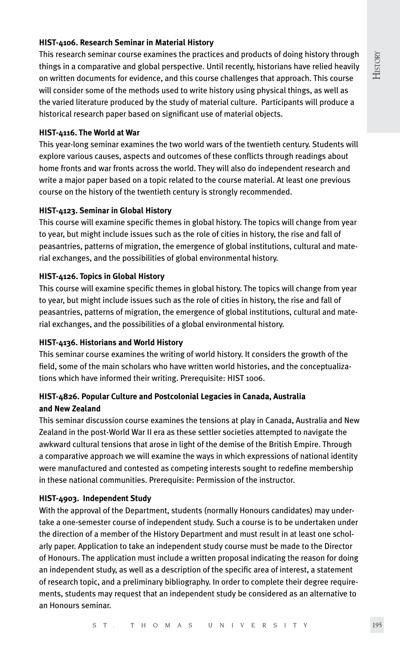#### **HIST-4106. Research Seminar in Material History**

This research seminar course examines the practices and products of doing history through things in a comparative and global perspective. Until recently, historians have relied heavily on written documents for evidence, and this course challenges that approach. This course will consider some of the methods used to write history using physical things, as well as the varied literature produced by the study of material culture. Participants will produce a historical research paper based on significant use of material objects.

#### **HIST-4116. The World at War**

This year-long seminar examines the two world wars of the twentieth century. Students will explore various causes, aspects and outcomes of these conflicts through readings about home fronts and war fronts across the world. They will also do independent research and write a major paper based on a topic related to the course material. At least one previous course on the history of the twentieth century is strongly recommended.

#### **HIST-4123. Seminar in Global History**

This course will examine specific themes in global history. The topics will change from year to year, but might include issues such as the role of cities in history, the rise and fall of peasantries, patterns of migration, the emergence of global institutions, cultural and material exchanges, and the possibilities of global environmental history.

#### **HIST-4126. Topics in Global History**

This course will examine specific themes in global history. The topics will change from year to year, but might include issues such as the role of cities in history, the rise and fall of peasantries, patterns of migration, the emergence of global institutions, cultural and material exchanges, and the possibilities of a global environmental history.

#### **HIST-4136. Historians and World History**

This seminar course examines the writing of world history. It considers the growth of the field, some of the main scholars who have written world histories, and the conceptualizations which have informed their writing. Prerequisite: HIST 1006.

#### **HIST-4826. Popular Culture and Postcolonial Legacies in Canada, Australia and New Zealand**

This seminar discussion course examines the tensions at play in Canada, Australia and New Zealand in the post-World War II era as these settler societies attempted to navigate the awkward cultural tensions that arose in light of the demise of the British Empire. Through a comparative approach we will examine the ways in which expressions of national identity were manufactured and contested as competing interests sought to redefine membership in these national communities. Prerequisite: Permission of the instructor.

#### **HIST-4903. Independent Study**

With the approval of the Department, students (normally Honours candidates) may undertake a one-semester course of independent study. Such a course is to be undertaken under the direction of a member of the History Department and must result in at least one scholarly paper. Application to take an independent study course must be made to the Director of Honours. The application must include a written proposal indicating the reason for doing an independent study, as well as a description of the specific area of interest, a statement of research topic, and a preliminary bibliography. In order to complete their degree requirements, students may request that an independent study be considered as an alternative to an Honours seminar.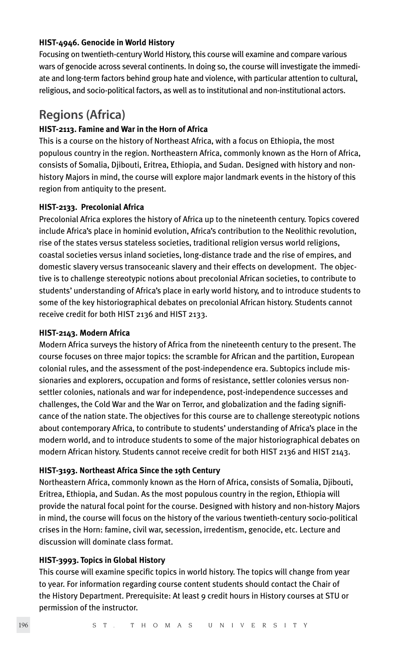#### **HIST-4946. Genocide in World History**

Focusing on twentieth-century World History, this course will examine and compare various wars of genocide across several continents. In doing so, the course will investigate the immediate and long-term factors behind group hate and violence, with particular attention to cultural, religious, and socio-political factors, as well as to institutional and non-institutional actors.

### **Regions (Africa)**

#### **HIST-2113. Famine and War in the Horn of Africa**

This is a course on the history of Northeast Africa, with a focus on Ethiopia, the most populous country in the region. Northeastern Africa, commonly known as the Horn of Africa, consists of Somalia, Djibouti, Eritrea, Ethiopia, and Sudan. Designed with history and nonhistory Majors in mind, the course will explore major landmark events in the history of this region from antiquity to the present.

#### **HIST-2133. Precolonial Africa**

Precolonial Africa explores the history of Africa up to the nineteenth century. Topics covered include Africa's place in hominid evolution, Africa's contribution to the Neolithic revolution, rise of the states versus stateless societies, traditional religion versus world religions, coastal societies versus inland societies, long-distance trade and the rise of empires, and domestic slavery versus transoceanic slavery and their effects on development. The objective is to challenge stereotypic notions about precolonial African societies, to contribute to students' understanding of Africa's place in early world history, and to introduce students to some of the key historiographical debates on precolonial African history. Students cannot receive credit for both HIST 2136 and HIST 2133.

#### **HIST-2143. Modern Africa**

Modern Africa surveys the history of Africa from the nineteenth century to the present. The course focuses on three major topics: the scramble for African and the partition, European colonial rules, and the assessment of the post-independence era. Subtopics include missionaries and explorers, occupation and forms of resistance, settler colonies versus nonsettler colonies, nationals and war for independence, post-independence successes and challenges, the Cold War and the War on Terror, and globalization and the fading significance of the nation state. The objectives for this course are to challenge stereotypic notions about contemporary Africa, to contribute to students' understanding of Africa's place in the modern world, and to introduce students to some of the major historiographical debates on modern African history. Students cannot receive credit for both HIST 2136 and HIST 2143.

#### **HIST-3193. Northeast Africa Since the 19th Century**

Northeastern Africa, commonly known as the Horn of Africa, consists of Somalia, Djibouti, Eritrea, Ethiopia, and Sudan. As the most populous country in the region, Ethiopia will provide the natural focal point for the course. Designed with history and non-history Majors in mind, the course will focus on the history of the various twentieth-century socio-political crises in the Horn: famine, civil war, secession, irredentism, genocide, etc. Lecture and discussion will dominate class format.

#### **HIST-3993. Topics in Global History**

This course will examine specific topics in world history. The topics will change from year to year. For information regarding course content students should contact the Chair of the History Department. Prerequisite: At least 9 credit hours in History courses at STU or permission of the instructor.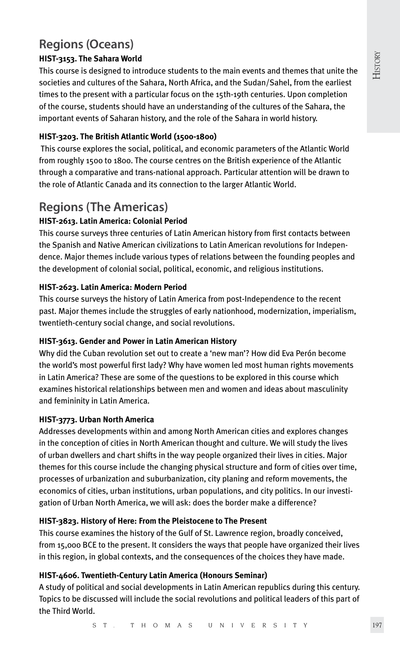# **Regions (Oceans)**

#### **HIST-3153. The Sahara World**

This course is designed to introduce students to the main events and themes that unite the societies and cultures of the Sahara, North Africa, and the Sudan/Sahel, from the earliest times to the present with a particular focus on the 15th-19th centuries. Upon completion of the course, students should have an understanding of the cultures of the Sahara, the important events of Saharan history, and the role of the Sahara in world history.

#### **HIST-3203. The British Atlantic World (1500-1800)**

 This course explores the social, political, and economic parameters of the Atlantic World from roughly 1500 to 1800. The course centres on the British experience of the Atlantic through a comparative and trans-national approach. Particular attention will be drawn to the role of Atlantic Canada and its connection to the larger Atlantic World.

# **Regions (The Americas)**

#### **HIST-2613. Latin America: Colonial Period**

This course surveys three centuries of Latin American history from first contacts between the Spanish and Native American civilizations to Latin American revolutions for Independence. Major themes include various types of relations between the founding peoples and the development of colonial social, political, economic, and religious institutions.

#### **HIST-2623. Latin America: Modern Period**

This course surveys the history of Latin America from post-Independence to the recent past. Major themes include the struggles of early nationhood, modernization, imperialism, twentieth-century social change, and social revolutions.

#### **HIST-3613. Gender and Power in Latin American History**

Why did the Cuban revolution set out to create a 'new man'? How did Eva Perón become the world's most powerful first lady? Why have women led most human rights movements in Latin America? These are some of the questions to be explored in this course which examines historical relationships between men and women and ideas about masculinity and femininity in Latin America.

#### **HIST-3773. Urban North America**

Addresses developments within and among North American cities and explores changes in the conception of cities in North American thought and culture. We will study the lives of urban dwellers and chart shifts in the way people organized their lives in cities. Major themes for this course include the changing physical structure and form of cities over time, processes of urbanization and suburbanization, city planing and reform movements, the economics of cities, urban institutions, urban populations, and city politics. In our investigation of Urban North America, we will ask: does the border make a difference?

#### **HIST-3823. History of Here: From the Pleistocene to The Present**

This course examines the history of the Gulf of St. Lawrence region, broadly conceived, from 15,000 BCE to the present. It considers the ways that people have organized their lives in this region, in global contexts, and the consequences of the choices they have made.

#### **HIST-4606. Twentieth-Century Latin America (Honours Seminar)**

A study of political and social developments in Latin American republics during this century. Topics to be discussed will include the social revolutions and political leaders of this part of the Third World.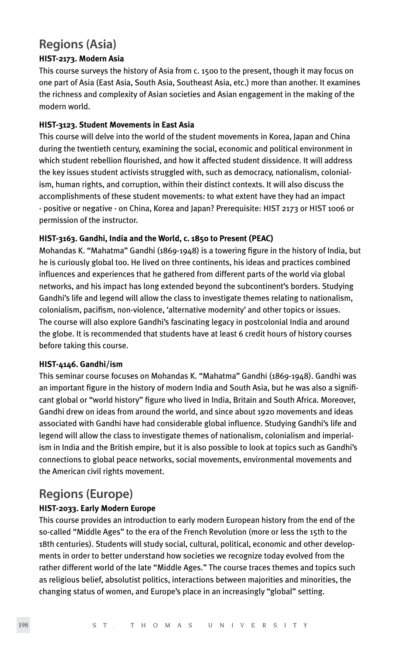### **Regions (Asia)**

#### **HIST-2173. Modern Asia**

This course surveys the history of Asia from c. 1500 to the present, though it may focus on one part of Asia (East Asia, South Asia, Southeast Asia, etc.) more than another. It examines the richness and complexity of Asian societies and Asian engagement in the making of the modern world.

#### **HIST-3123. Student Movements in East Asia**

This course will delve into the world of the student movements in Korea, Japan and China during the twentieth century, examining the social, economic and political environment in which student rebellion flourished, and how it affected student dissidence. It will address the key issues student activists struggled with, such as democracy, nationalism, colonialism, human rights, and corruption, within their distinct contexts. It will also discuss the accomplishments of these student movements: to what extent have they had an impact - positive or negative - on China, Korea and Japan? Prerequisite: HIST 2173 or HIST 1006 or permission of the instructor.

#### **HIST-3163. Gandhi, India and the World, c. 1850 to Present (PEAC)**

Mohandas K. "Mahatma" Gandhi (1869-1948) is a towering figure in the history of India, but he is curiously global too. He lived on three continents, his ideas and practices combined influences and experiences that he gathered from different parts of the world via global networks, and his impact has long extended beyond the subcontinent's borders. Studying Gandhi's life and legend will allow the class to investigate themes relating to nationalism, colonialism, pacifism, non-violence, 'alternative modernity' and other topics or issues. The course will also explore Gandhi's fascinating legacy in postcolonial India and around the globe. It is recommended that students have at least 6 credit hours of history courses before taking this course.

#### **HIST-4146. Gandhi/ism**

This seminar course focuses on Mohandas K. "Mahatma" Gandhi (1869-1948). Gandhi was an important figure in the history of modern India and South Asia, but he was also a significant global or "world history" figure who lived in India, Britain and South Africa. Moreover, Gandhi drew on ideas from around the world, and since about 1920 movements and ideas associated with Gandhi have had considerable global influence. Studying Gandhi's life and legend will allow the class to investigate themes of nationalism, colonialism and imperialism in India and the British empire, but it is also possible to look at topics such as Gandhi's connections to global peace networks, social movements, environmental movements and the American civil rights movement.

### **Regions (Europe)**

#### **HIST-2033. Early Modern Europe**

This course provides an introduction to early modern European history from the end of the so-called "Middle Ages" to the era of the French Revolution (more or less the 15th to the 18th centuries). Students will study social, cultural, political, economic and other developments in order to better understand how societies we recognize today evolved from the rather different world of the late "Middle Ages." The course traces themes and topics such as religious belief, absolutist politics, interactions between majorities and minorities, the changing status of women, and Europe's place in an increasingly "global" setting.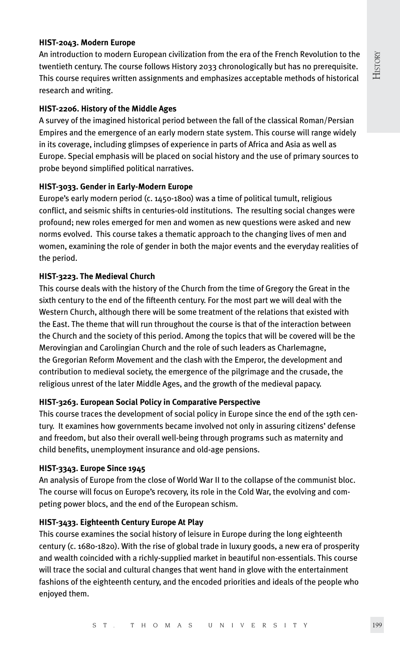#### **HIST-2043. Modern Europe**

An introduction to modern European civilization from the era of the French Revolution to the twentieth century. The course follows History 2033 chronologically but has no prerequisite. This course requires written assignments and emphasizes acceptable methods of historical research and writing.

#### **HIST-2206. History of the Middle Ages**

A survey of the imagined historical period between the fall of the classical Roman/Persian Empires and the emergence of an early modern state system. This course will range widely in its coverage, including glimpses of experience in parts of Africa and Asia as well as Europe. Special emphasis will be placed on social history and the use of primary sources to probe beyond simplified political narratives.

#### **HIST-3033. Gender in Early-Modern Europe**

Europe's early modern period (c. 1450-1800) was a time of political tumult, religious conflict, and seismic shifts in centuries-old institutions. The resulting social changes were profound; new roles emerged for men and women as new questions were asked and new norms evolved. This course takes a thematic approach to the changing lives of men and women, examining the role of gender in both the major events and the everyday realities of the period.

#### **HIST-3223. The Medieval Church**

This course deals with the history of the Church from the time of Gregory the Great in the sixth century to the end of the fifteenth century. For the most part we will deal with the Western Church, although there will be some treatment of the relations that existed with the East. The theme that will run throughout the course is that of the interaction between the Church and the society of this period. Among the topics that will be covered will be the Merovingian and Carolingian Church and the role of such leaders as Charlemagne, the Gregorian Reform Movement and the clash with the Emperor, the development and contribution to medieval society, the emergence of the pilgrimage and the crusade, the religious unrest of the later Middle Ages, and the growth of the medieval papacy.

#### **HIST-3263. European Social Policy in Comparative Perspective**

This course traces the development of social policy in Europe since the end of the 19th century. It examines how governments became involved not only in assuring citizens' defense and freedom, but also their overall well-being through programs such as maternity and child benefits, unemployment insurance and old-age pensions.

#### **HIST-3343. Europe Since 1945**

An analysis of Europe from the close of World War II to the collapse of the communist bloc. The course will focus on Europe's recovery, its role in the Cold War, the evolving and competing power blocs, and the end of the European schism.

#### **HIST-3433. Eighteenth Century Europe At Play**

This course examines the social history of leisure in Europe during the long eighteenth century (c. 1680-1820). With the rise of global trade in luxury goods, a new era of prosperity and wealth coincided with a richly-supplied market in beautiful non-essentials. This course will trace the social and cultural changes that went hand in glove with the entertainment fashions of the eighteenth century, and the encoded priorities and ideals of the people who enjoyed them.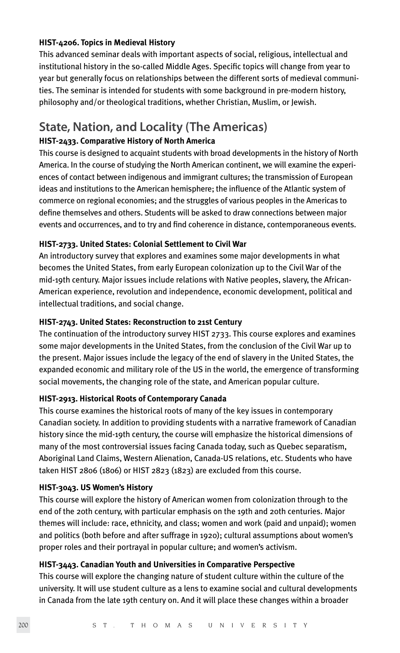#### **HIST-4206. Topics in Medieval History**

This advanced seminar deals with important aspects of social, religious, intellectual and institutional history in the so-called Middle Ages. Specific topics will change from year to year but generally focus on relationships between the different sorts of medieval communities. The seminar is intended for students with some background in pre-modern history, philosophy and/or theological traditions, whether Christian, Muslim, or Jewish.

## **State, Nation, and Locality (The Americas)**

#### **HIST-2433. Comparative History of North America**

This course is designed to acquaint students with broad developments in the history of North America. In the course of studying the North American continent, we will examine the experiences of contact between indigenous and immigrant cultures; the transmission of European ideas and institutions to the American hemisphere; the influence of the Atlantic system of commerce on regional economies; and the struggles of various peoples in the Americas to define themselves and others. Students will be asked to draw connections between major events and occurrences, and to try and find coherence in distance, contemporaneous events.

#### **HIST-2733. United States: Colonial Settlement to Civil War**

An introductory survey that explores and examines some major developments in what becomes the United States, from early European colonization up to the Civil War of the mid-19th century. Major issues include relations with Native peoples, slavery, the African-American experience, revolution and independence, economic development, political and intellectual traditions, and social change.

#### **HIST-2743. United States: Reconstruction to 21st Century**

The continuation of the introductory survey HIST 2733. This course explores and examines some major developments in the United States, from the conclusion of the Civil War up to the present. Major issues include the legacy of the end of slavery in the United States, the expanded economic and military role of the US in the world, the emergence of transforming social movements, the changing role of the state, and American popular culture.

#### **HIST-2913. Historical Roots of Contemporary Canada**

This course examines the historical roots of many of the key issues in contemporary Canadian society. In addition to providing students with a narrative framework of Canadian history since the mid-19th century, the course will emphasize the historical dimensions of many of the most controversial issues facing Canada today, such as Quebec separatism, Aboriginal Land Claims, Western Alienation, Canada-US relations, etc. Students who have taken HIST 2806 (1806) or HIST 2823 (1823) are excluded from this course.

#### **HIST-3043. US Women's History**

This course will explore the history of American women from colonization through to the end of the 20th century, with particular emphasis on the 19th and 20th centuries. Major themes will include: race, ethnicity, and class; women and work (paid and unpaid); women and politics (both before and after suffrage in 1920); cultural assumptions about women's proper roles and their portrayal in popular culture; and women's activism.

#### **HIST-3443. Canadian Youth and Universities in Comparative Perspective**

This course will explore the changing nature of student culture within the culture of the university. It will use student culture as a lens to examine social and cultural developments in Canada from the late 19th century on. And it will place these changes within a broader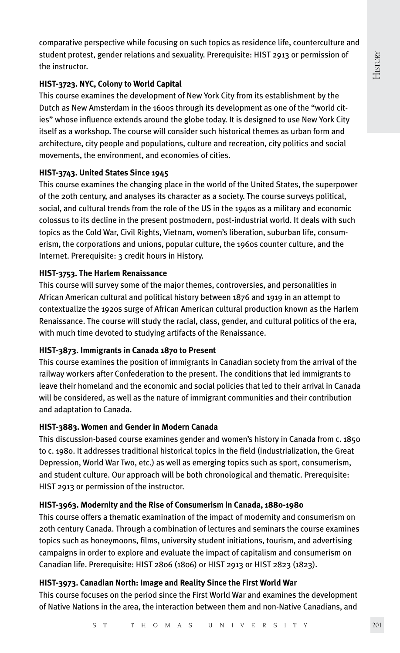comparative perspective while focusing on such topics as residence life, counterculture and student protest, gender relations and sexuality. Prerequisite: HIST 2913 or permission of the instructor.

#### **HIST-3723. NYC, Colony to World Capital**

This course examines the development of New York City from its establishment by the Dutch as New Amsterdam in the 1600s through its development as one of the "world cities" whose influence extends around the globe today. It is designed to use New York City itself as a workshop. The course will consider such historical themes as urban form and architecture, city people and populations, culture and recreation, city politics and social movements, the environment, and economies of cities.

#### **HIST-3743. United States Since 1945**

This course examines the changing place in the world of the United States, the superpower of the 20th century, and analyses its character as a society. The course surveys political, social, and cultural trends from the role of the US in the 1940s as a military and economic colossus to its decline in the present postmodern, post-industrial world. It deals with such topics as the Cold War, Civil Rights, Vietnam, women's liberation, suburban life, consumerism, the corporations and unions, popular culture, the 1960s counter culture, and the Internet. Prerequisite: 3 credit hours in History.

#### **HIST-3753. The Harlem Renaissance**

This course will survey some of the major themes, controversies, and personalities in African American cultural and political history between 1876 and 1919 in an attempt to contextualize the 1920s surge of African American cultural production known as the Harlem Renaissance. The course will study the racial, class, gender, and cultural politics of the era, with much time devoted to studying artifacts of the Renaissance.

#### **HIST-3873. Immigrants in Canada 1870 to Present**

This course examines the position of immigrants in Canadian society from the arrival of the railway workers after Confederation to the present. The conditions that led immigrants to leave their homeland and the economic and social policies that led to their arrival in Canada will be considered, as well as the nature of immigrant communities and their contribution and adaptation to Canada.

#### **HIST-3883. Women and Gender in Modern Canada**

This discussion-based course examines gender and women's history in Canada from c. 1850 to c. 1980. It addresses traditional historical topics in the field (industrialization, the Great Depression, World War Two, etc.) as well as emerging topics such as sport, consumerism, and student culture. Our approach will be both chronological and thematic. Prerequisite: HIST 2913 or permission of the instructor.

#### **HIST-3963. Modernity and the Rise of Consumerism in Canada, 1880-1980**

This course offers a thematic examination of the impact of modernity and consumerism on 20th century Canada. Through a combination of lectures and seminars the course examines topics such as honeymoons, films, university student initiations, tourism, and advertising campaigns in order to explore and evaluate the impact of capitalism and consumerism on Canadian life. Prerequisite: HIST 2806 (1806) or HIST 2913 or HIST 2823 (1823).

#### **HIST-3973. Canadian North: Image and Reality Since the First World War**

This course focuses on the period since the First World War and examines the development of Native Nations in the area, the interaction between them and non-Native Canadians, and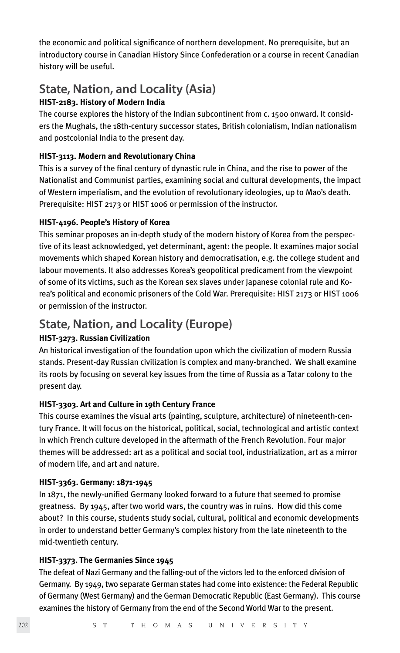the economic and political significance of northern development. No prerequisite, but an introductory course in Canadian History Since Confederation or a course in recent Canadian history will be useful.

# **State, Nation, and Locality (Asia)**

#### **HIST-2183. History of Modern India**

The course explores the history of the Indian subcontinent from c. 1500 onward. It considers the Mughals, the 18th-century successor states, British colonialism, Indian nationalism and postcolonial India to the present day.

#### **HIST-3113. Modern and Revolutionary China**

This is a survey of the final century of dynastic rule in China, and the rise to power of the Nationalist and Communist parties, examining social and cultural developments, the impact of Western imperialism, and the evolution of revolutionary ideologies, up to Mao's death. Prerequisite: HIST 2173 or HIST 1006 or permission of the instructor.

#### **HIST-4196. People's History of Korea**

This seminar proposes an in-depth study of the modern history of Korea from the perspective of its least acknowledged, yet determinant, agent: the people. It examines major social movements which shaped Korean history and democratisation, e.g. the college student and labour movements. It also addresses Korea's geopolitical predicament from the viewpoint of some of its victims, such as the Korean sex slaves under Japanese colonial rule and Korea's political and economic prisoners of the Cold War. Prerequisite: HIST 2173 or HIST 1006 or permission of the instructor.

### **State, Nation, and Locality (Europe)**

#### **HIST-3273. Russian Civilization**

An historical investigation of the foundation upon which the civilization of modern Russia stands. Present-day Russian civilization is complex and many-branched. We shall examine its roots by focusing on several key issues from the time of Russia as a Tatar colony to the present day.

#### **HIST-3303. Art and Culture in 19th Century France**

This course examines the visual arts (painting, sculpture, architecture) of nineteenth-century France. It will focus on the historical, political, social, technological and artistic context in which French culture developed in the aftermath of the French Revolution. Four major themes will be addressed: art as a political and social tool, industrialization, art as a mirror of modern life, and art and nature.

#### **HIST-3363. Germany: 1871-1945**

In 1871, the newly-unified Germany looked forward to a future that seemed to promise greatness. By 1945, after two world wars, the country was in ruins. How did this come about? In this course, students study social, cultural, political and economic developments in order to understand better Germany's complex history from the late nineteenth to the mid-twentieth century.

#### **HIST-3373. The Germanies Since 1945**

The defeat of Nazi Germany and the falling-out of the victors led to the enforced division of Germany. By 1949, two separate German states had come into existence: the Federal Republic of Germany (West Germany) and the German Democratic Republic (East Germany). This course examines the history of Germany from the end of the Second World War to the present.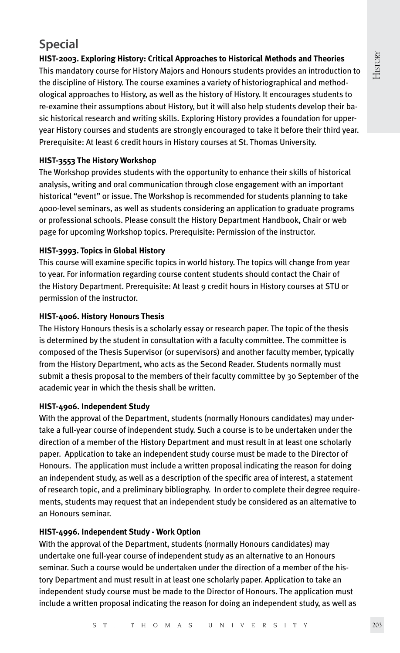# **HISTORY**

# **Special**

#### **HIST-2003. Exploring History: Critical Approaches to Historical Methods and Theories**

This mandatory course for History Majors and Honours students provides an introduction to the discipline of History. The course examines a variety of historiographical and methodological approaches to History, as well as the history of History. It encourages students to re-examine their assumptions about History, but it will also help students develop their basic historical research and writing skills. Exploring History provides a foundation for upperyear History courses and students are strongly encouraged to take it before their third year. Prerequisite: At least 6 credit hours in History courses at St. Thomas University.

#### **HIST-3553 The History Workshop**

The Workshop provides students with the opportunity to enhance their skills of historical analysis, writing and oral communication through close engagement with an important historical "event" or issue. The Workshop is recommended for students planning to take 4000-level seminars, as well as students considering an application to graduate programs or professional schools. Please consult the History Department Handbook, Chair or web page for upcoming Workshop topics. Prerequisite: Permission of the instructor.

#### **HIST-3993. Topics in Global History**

This course will examine specific topics in world history. The topics will change from year to year. For information regarding course content students should contact the Chair of the History Department. Prerequisite: At least 9 credit hours in History courses at STU or permission of the instructor.

#### **HIST-4006. History Honours Thesis**

The History Honours thesis is a scholarly essay or research paper. The topic of the thesis is determined by the student in consultation with a faculty committee. The committee is composed of the Thesis Supervisor (or supervisors) and another faculty member, typically from the History Department, who acts as the Second Reader. Students normally must submit a thesis proposal to the members of their faculty committee by 30 September of the academic year in which the thesis shall be written.

#### **HIST-4906. Independent Study**

With the approval of the Department, students (normally Honours candidates) may undertake a full-year course of independent study. Such a course is to be undertaken under the direction of a member of the History Department and must result in at least one scholarly paper. Application to take an independent study course must be made to the Director of Honours. The application must include a written proposal indicating the reason for doing an independent study, as well as a description of the specific area of interest, a statement of research topic, and a preliminary bibliography. In order to complete their degree requirements, students may request that an independent study be considered as an alternative to an Honours seminar.

#### **HIST-4996. Independent Study - Work Option**

With the approval of the Department, students (normally Honours candidates) may undertake one full-year course of independent study as an alternative to an Honours seminar. Such a course would be undertaken under the direction of a member of the history Department and must result in at least one scholarly paper. Application to take an independent study course must be made to the Director of Honours. The application must include a written proposal indicating the reason for doing an independent study, as well as